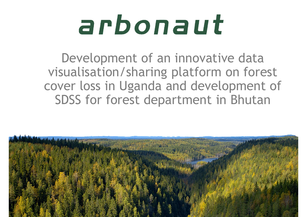## arbonaut

Development of an innovative data visualisation/sharing platform on forest cover loss in Uganda and development of SDSS for forest department in Bhutan

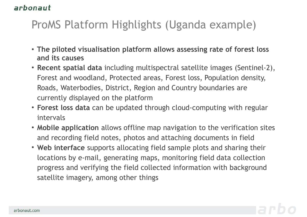## ProMS Platform Highlights (Uganda example)

- The piloted visualisation platform allows assessing rate of forest loss<br>• The piloted visualisation platform allows assessing rate of forest loss<br>• Recent spatial data including multispectral satellite images (Sentinel-2
- **aut**<br>ITOMS Platform Highlights (Ug<br>The piloted visualisation platform allows as<br>and its causes<br>Recent spatial data including multispectral<br>Forest and woodland, Protected areas, Fores • The piloted visualisation platform allows assessing rate of forest loss<br>• The piloted visualisation platform allows assessing rate of forest loss<br>• Recent spatial data including multispectral satellite images (Sentinel-2 Forest and woodland, Protected areas, Forest loss, Population density, Roads, Waterbodies, District, Region and Country boundaries are currently displayed on the platform
- Forest loss data can be updated through cloud-computing with regular intervals
- Mobile application allows offline map navigation to the verification sites and recording field notes, photos and attaching documents in field
- Web interface supports allocating field sample plots and sharing their locations by e-mail, generating maps, monitoring field data collection progress and verifying the field collected information with background satellite imagery, among other things

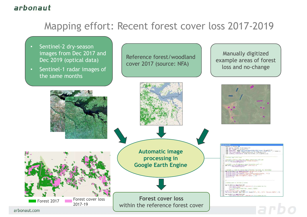# Mapping effort: Recent forest cover loss 2017-2019 **Example 18 Applies of**<br> **Mapping effort: Recent forest cover**<br>
Sentinel-2 dry-season<br>
images from Dec 2017 and<br>
Dec 2019 (optical data)<br>
Sentinel-1 radar images of<br>
the same months **Example 18 Appling effort:** Recent forest cover<br>
Sentinel-2 dry-season<br>
images from Dec 2017 and<br>
Dec 2019 (optical data)<br>
Sentinel-1 radar images of<br>
the same months

- Sentinel-2 dry-season
- 

Reference forest/woodland cover 2017 (source: NFA)

Manually digitized example areas of forest loss and no-change



arbonaut.com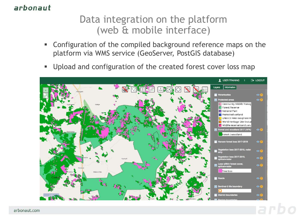### arbonaut

### Data integration on the platform (web & mobile interface)

- Configuration of the compiled background reference maps on the platform via WMS service (GeoServer, PostGIS database)
- **Upload and configuration of the created forest cover loss map**



arbonaut.com